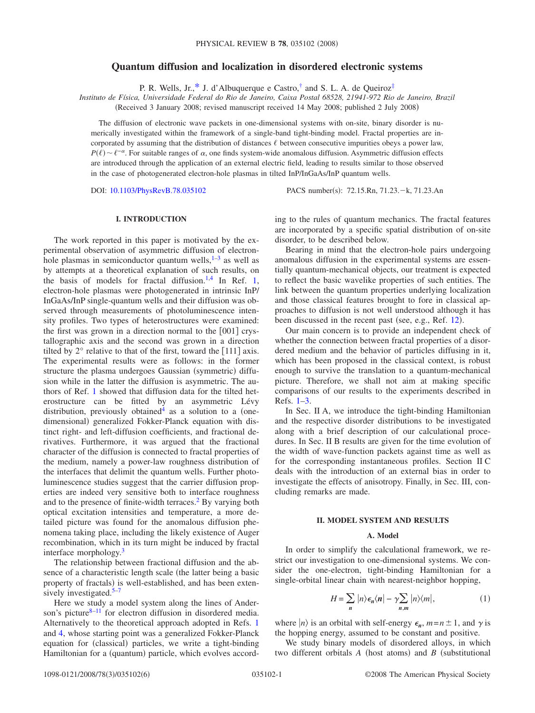# **Quantum diffusion and localization in disordered electronic systems**

P. R. Wells, Jr.[,\\*](#page-5-0) J. d'Albuquerque e Castro, $^{\dagger}$  and S. L. A. de Queiroz $^{\ddagger}$ 

*Instituto de Física, Universidade Federal do Rio de Janeiro, Caixa Postal 68528, 21941-972 Rio de Janeiro, Brazil*

(Received 3 January 2008; revised manuscript received 14 May 2008; published 2 July 2008)

The diffusion of electronic wave packets in one-dimensional systems with on-site, binary disorder is numerically investigated within the framework of a single-band tight-binding model. Fractal properties are incorporated by assuming that the distribution of distances  $\ell$  between consecutive impurities obeys a power law,  $P(\ell) \sim \ell^{-\alpha}$ . For suitable ranges of  $\alpha$ , one finds system-wide anomalous diffusion. Asymmetric diffusion effects are introduced through the application of an external electric field, leading to results similar to those observed in the case of photogenerated electron-hole plasmas in tilted InP/InGaAs/InP quantum wells.

DOI: [10.1103/PhysRevB.78.035102](http://dx.doi.org/10.1103/PhysRevB.78.035102)

: 72.15.Rn, 71.23.-k, 71.23.An

## **I. INTRODUCTION**

The work reported in this paper is motivated by the experimental observation of asymmetric diffusion of electronhole plasmas in semiconductor quantum wells, $1-3$  $1-3$  as well as by attempts at a theoretical explanation of such results, on the basis of models for fractal diffusion.<sup>1[,4](#page-5-5)</sup> In Ref. [1,](#page-5-3) electron-hole plasmas were photogenerated in intrinsic InP/ InGaAs/InP single-quantum wells and their diffusion was observed through measurements of photoluminescence intensity profiles. Two types of heterostructures were examined: the first was grown in a direction normal to the  $[001]$  crystallographic axis and the second was grown in a direction tilted by  $2^{\circ}$  relative to that of the first, toward the [111] axis. The experimental results were as follows: in the former structure the plasma undergoes Gaussian (symmetric) diffusion while in the latter the diffusion is asymmetric. The authors of Ref. [1](#page-5-3) showed that diffusion data for the tilted heterostructure can be fitted by an asymmetric Lévy distribution, previously obtained<sup>4</sup> as a solution to a (onedimensional) generalized Fokker-Planck equation with distinct right- and left-diffusion coefficients, and fractional derivatives. Furthermore, it was argued that the fractional character of the diffusion is connected to fractal properties of the medium, namely a power-law roughness distribution of the interfaces that delimit the quantum wells. Further photoluminescence studies suggest that the carrier diffusion properties are indeed very sensitive both to interface roughness and to the presence of finite-width terraces.<sup>2</sup> By varying both optical excitation intensities and temperature, a more detailed picture was found for the anomalous diffusion phenomena taking place, including the likely existence of Auger recombination, which in its turn might be induced by fractal interface morphology[.3](#page-5-4)

The relationship between fractional diffusion and the absence of a characteristic length scale (the latter being a basic property of fractals) is well-established, and has been exten-sively investigated.<sup>5[–7](#page-5-8)</sup>

Here we study a model system along the lines of Ander-son's picture<sup>8[–11](#page-5-10)</sup> for electron diffusion in disordered media. Alternatively to the theoretical approach adopted in Refs. [1](#page-5-3) and [4,](#page-5-5) whose starting point was a generalized Fokker-Planck equation for (classical) particles, we write a tight-binding Hamiltonian for a (quantum) particle, which evolves according to the rules of quantum mechanics. The fractal features are incorporated by a specific spatial distribution of on-site disorder, to be described below.

Bearing in mind that the electron-hole pairs undergoing anomalous diffusion in the experimental systems are essentially quantum-mechanical objects, our treatment is expected to reflect the basic wavelike properties of such entities. The link between the quantum properties underlying localization and those classical features brought to fore in classical approaches to diffusion is not well understood although it has been discussed in the recent past (see, e.g., Ref. [12](#page-5-11)).

Our main concern is to provide an independent check of whether the connection between fractal properties of a disordered medium and the behavior of particles diffusing in it, which has been proposed in the classical context, is robust enough to survive the translation to a quantum-mechanical picture. Therefore, we shall not aim at making specific comparisons of our results to the experiments described in Refs. [1–](#page-5-3)[3.](#page-5-4)

In Sec. II A, we introduce the tight-binding Hamiltonian and the respective disorder distributions to be investigated along with a brief description of our calculational procedures. In Sec. II B results are given for the time evolution of the width of wave-function packets against time as well as for the corresponding instantaneous profiles. Section II C deals with the introduction of an external bias in order to investigate the effects of anisotropy. Finally, in Sec. III, concluding remarks are made.

## **II. MODEL SYSTEM AND RESULTS**

#### **A. Model**

In order to simplify the calculational framework, we restrict our investigation to one-dimensional systems. We consider the one-electron, tight-binding Hamiltonian for a single-orbital linear chain with nearest-neighbor hopping,

$$
H = \sum_{n} |n\rangle \epsilon_n \langle n| - \gamma \sum_{n,m} |n\rangle \langle m|, \qquad (1)
$$

where  $|n\rangle$  is an orbital with self-energy  $\epsilon_n$ ,  $m=n\pm 1$ , and  $\gamma$  is the hopping energy, assumed to be constant and positive.

We study binary models of disordered alloys, in which two different orbitals  $A$  (host atoms) and  $B$  (substitutional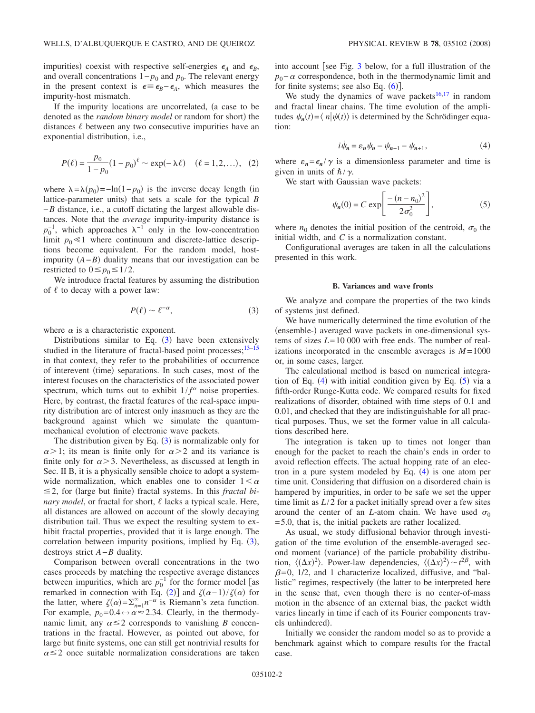impurities) coexist with respective self-energies  $\epsilon_A$  and  $\epsilon_B$ , and overall concentrations  $1-p_0$  and  $p_0$ . The relevant energy in the present context is  $\epsilon = \epsilon_B - \epsilon_A$ , which measures the impurity-host mismatch.

If the impurity locations are uncorrelated, (a case to be denoted as the *random binary model* or random for short) the distances  $\ell$  between any two consecutive impurities have an exponential distribution, i.e.,

$$
P(\ell) = \frac{p_0}{1 - p_0} (1 - p_0)^{\ell} \sim \exp(-\lambda \ell) \quad (\ell = 1, 2, \ldots), \tag{2}
$$

<span id="page-1-0"></span>where  $\lambda = \lambda(p_0) = -\ln(1-p_0)$  is the inverse decay length (in lattice-parameter units) that sets a scale for the typical *B* −*B* distance, i.e., a cutoff dictating the largest allowable distances. Note that the *average* impurity-impurity distance is  $p_0^{-1}$ , which approaches  $\lambda^{-1}$  only in the low-concentration limit  $p_0 \ll 1$  where continuum and discrete-lattice descriptions become equivalent. For the random model, hostimpurity  $(A - B)$  duality means that our investigation can be restricted to  $0 \le p_0 \le 1/2$ .

We introduce fractal features by assuming the distribution of  $\ell$  to decay with a power law:

$$
P(\ell) \sim \ell^{-\alpha},\tag{3}
$$

where  $\alpha$  is a characteristic exponent.

Distributions similar to Eq.  $(3)$  $(3)$  $(3)$  have been extensively studied in the literature of fractal-based point processes; $13-15$ in that context, they refer to the probabilities of occurrence of interevent (time) separations. In such cases, most of the interest focuses on the characteristics of the associated power spectrum, which turns out to exhibit  $1/f^{\alpha}$  noise properties. Here, by contrast, the fractal features of the real-space impurity distribution are of interest only inasmuch as they are the background against which we simulate the quantummechanical evolution of electronic wave packets.

The distribution given by Eq.  $(3)$  $(3)$  $(3)$  is normalizable only for  $\alpha$  > 1; its mean is finite only for  $\alpha$  > 2 and its variance is finite only for  $\alpha > 3$ . Nevertheless, as discussed at length in Sec. II B, it is a physically sensible choice to adopt a systemwide normalization, which enables one to consider  $1 < \alpha$  $\leq$ 2, for (large but finite) fractal systems. In this *fractal binary model*, or fractal for short,  $\ell$  lacks a typical scale. Here, all distances are allowed on account of the slowly decaying distribution tail. Thus we expect the resulting system to exhibit fractal properties, provided that it is large enough. The correlation between impurity positions, implied by Eq. ([3](#page-1-0)), destroys strict *A*−*B* duality.

Comparison between overall concentrations in the two cases proceeds by matching the respective average distances between impurities, which are  $p_0^{-1}$  for the former model [as remarked in connection with Eq. ([2](#page-1-0))] and  $\zeta(\alpha-1)/\zeta(\alpha)$  for the latter, where  $\zeta(\alpha) = \sum_{n=1}^{\infty} n^{-\alpha}$  is Riemann's zeta function. For example,  $p_0=0.4 \leftrightarrow \alpha \approx 2.34$ . Clearly, in the thermodynamic limit, any  $\alpha \leq 2$  corresponds to vanishing *B* concentrations in the fractal. However, as pointed out above, for large but finite systems, one can still get nontrivial results for  $\alpha \leq 2$  once suitable normalization considerations are taken into account [see Fig. [3](#page-2-0) below, for a full illustration of the  $p_0$ − $\alpha$  correspondence, both in the thermodynamic limit and for finite systems; see also Eq.  $(6)$  $(6)$  $(6)$ ].

We study the dynamics of wave packets<sup>16,[17](#page-5-15)</sup> in random and fractal linear chains. The time evolution of the amplitudes  $\psi_n(t) = \langle n | \psi(t) \rangle$  is determined by the Schrödinger equation:

$$
i\dot{\psi}_n = \varepsilon_n \psi_n - \psi_{n-1} - \psi_{n+1},\tag{4}
$$

<span id="page-1-1"></span>where  $\varepsilon_n = \frac{\epsilon_n}{\gamma}$  is a dimensionless parameter and time is given in units of  $\hbar/\gamma$ .

We start with Gaussian wave packets:

$$
\psi_n(0) = C \exp \left[ \frac{-(n-n_0)^2}{2\sigma_0^2} \right],
$$
\n(5)

<span id="page-1-2"></span>where  $n_0$  denotes the initial position of the centroid,  $\sigma_0$  the initial width, and *C* is a normalization constant.

Configurational averages are taken in all the calculations presented in this work.

#### **B. Variances and wave fronts**

We analyze and compare the properties of the two kinds of systems just defined.

We have numerically determined the time evolution of the (ensemble-) averaged wave packets in one-dimensional systems of sizes *L*=10 000 with free ends. The number of realizations incorporated in the ensemble averages is  $M = 1000$ or, in some cases, larger.

The calculational method is based on numerical integra-tion of Eq. ([4](#page-1-1)) with initial condition given by Eq. ([5](#page-1-2)) via a fifth-order Runge-Kutta code. We compared results for fixed realizations of disorder, obtained with time steps of 0.1 and 0.01, and checked that they are indistinguishable for all practical purposes. Thus, we set the former value in all calculations described here.

The integration is taken up to times not longer than enough for the packet to reach the chain's ends in order to avoid reflection effects. The actual hopping rate of an electron in a pure system modeled by Eq.  $(4)$  $(4)$  $(4)$  is one atom per time unit. Considering that diffusion on a disordered chain is hampered by impurities, in order to be safe we set the upper time limit as *L*/2 for a packet initially spread over a few sites around the center of an *L*-atom chain. We have used  $\sigma_0$ =5.0, that is, the initial packets are rather localized.

As usual, we study diffusional behavior through investigation of the time evolution of the ensemble-averaged second moment (variance) of the particle probability distribution,  $\langle (\Delta x)^2 \rangle$ . Power-law dependencies,  $\langle (\Delta x)^2 \rangle \sim t^{2\beta}$ , with  $\beta$ =0, 1/2, and 1 characterize localized, diffusive, and "ballistic" regimes, respectively (the latter to be interpreted here in the sense that, even though there is no center-of-mass motion in the absence of an external bias, the packet width varies linearly in time if each of its Fourier components travels unhindered).

Initially we consider the random model so as to provide a benchmark against which to compare results for the fractal case.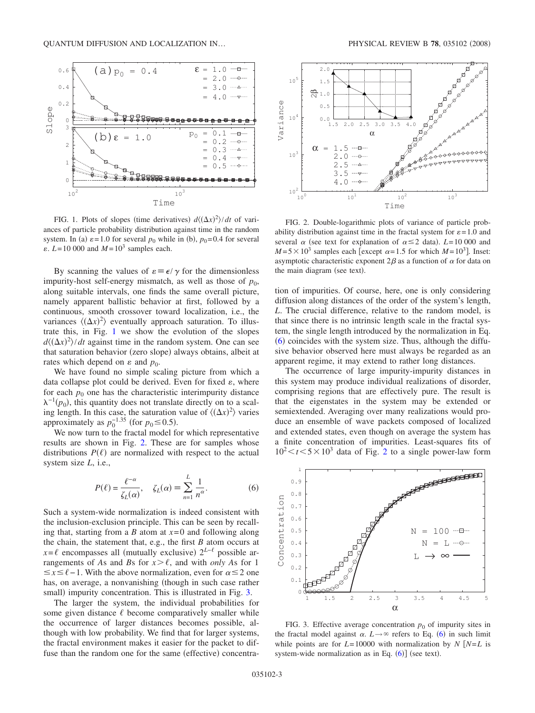<span id="page-2-2"></span>

FIG. 1. Plots of slopes (time derivatives)  $d\langle (\Delta x)^2 \rangle / dt$  of variances of particle probability distribution against time in the random system. In (a)  $\varepsilon = 1.0$  for several  $p_0$  while in (b),  $p_0 = 0.4$  for several  $\varepsilon$ .  $L = 10000$  and  $M = 10<sup>3</sup>$  samples each.

By scanning the values of  $\varepsilon = \epsilon / \gamma$  for the dimensionless impurity-host self-energy mismatch, as well as those of  $p_0$ , along suitable intervals, one finds the same overall picture, namely apparent ballistic behavior at first, followed by a continuous, smooth crossover toward localization, i.e., the variances  $\langle (\Delta x)^2 \rangle$  eventually approach saturation. To illustrate this, in Fig. [1](#page-2-2) we show the evolution of the slopes  $d\langle (\Delta x)^2 \rangle / dt$  against time in the random system. One can see that saturation behavior (zero slope) always obtains, albeit at rates which depend on  $\varepsilon$  and  $p_0$ .

We have found no simple scaling picture from which a data collapse plot could be derived. Even for fixed  $\varepsilon$ , where for each  $p_0$  one has the characteristic interimpurity distance  $\lambda^{-1}(p_0)$ , this quantity does not translate directly on to a scaling length. In this case, the saturation value of  $\langle (\Delta x)^2 \rangle$  varies approximately as  $p_0^{-1.35}$  (for  $p_0 \le 0.5$ ).

We now turn to the fractal model for which representative results are shown in Fig. [2.](#page-2-3) These are for samples whose distributions  $P(\ell)$  are normalized with respect to the actual system size *L*, i.e.,

$$
P(\ell) = \frac{\ell^{-\alpha}}{\zeta_L(\alpha)}, \quad \zeta_L(\alpha) \equiv \sum_{n=1}^L \frac{1}{n^{\alpha}}.
$$
 (6)

<span id="page-2-1"></span>Such a system-wide normalization is indeed consistent with the inclusion-exclusion principle. This can be seen by recalling that, starting from a *B* atom at *x*=0 and following along the chain, the statement that, e.g., the first *B* atom occurs at  $x = \ell$  encompasses all (mutually exclusive)  $2^{L-\ell}$  possible arrangements of *As* and *Bs* for  $x > \ell$ , and with *only As* for 1  $\leq$ *x*  $\leq$  *θ* −1. With the above normalization, even for  $\alpha$   $\leq$  2 one has, on average, a nonvanishing (though in such case rather small) impurity concentration. This is illustrated in Fig. [3.](#page-2-0)

The larger the system, the individual probabilities for some given distance  $\ell$  become comparatively smaller while the occurrence of larger distances becomes possible, although with low probability. We find that for larger systems, the fractal environment makes it easier for the packet to diffuse than the random one for the same (effective) concentra-

<span id="page-2-3"></span>

FIG. 2. Double-logarithmic plots of variance of particle probability distribution against time in the fractal system for  $\varepsilon = 1.0$  and several  $\alpha$  (see text for explanation of  $\alpha \le 2$  data). *L*=10 000 and  $M = 5 \times 10^3$  samples each [except  $\alpha = 1.5$  for which  $M = 10^3$ ]. Inset: asymptotic characteristic exponent  $2\beta$  as a function of  $\alpha$  for data on the main diagram (see text).

tion of impurities. Of course, here, one is only considering diffusion along distances of the order of the system's length, *L*. The crucial difference, relative to the random model, is that since there is no intrinsic length scale in the fractal system, the single length introduced by the normalization in Eq. ([6](#page-2-1)) coincides with the system size. Thus, although the diffusive behavior observed here must always be regarded as an apparent regime, it may extend to rather long distances.

The occurrence of large impurity-impurity distances in this system may produce individual realizations of disorder, comprising regions that are effectively pure. The result is that the eigenstates in the system may be extended or semiextended. Averaging over many realizations would produce an ensemble of wave packets composed of localized and extended states, even though on average the system has a finite concentration of impurities. Least-squares fits of  $10^2 \le t \le 5 \times 10^3$  $10^2 \le t \le 5 \times 10^3$  $10^2 \le t \le 5 \times 10^3$  data of Fig. 2 to a single power-law form

<span id="page-2-0"></span>

FIG. 3. Effective average concentration  $p_0$  of impurity sites in the fractal model against  $\alpha$ .  $L \rightarrow \infty$  refers to Eq. ([6](#page-2-1)) in such limit while points are for  $L=10000$  with normalization by  $N \left[ N=L \right]$  is system-wide normalization as in Eq.  $(6)$  $(6)$  $(6)$ ] (see text).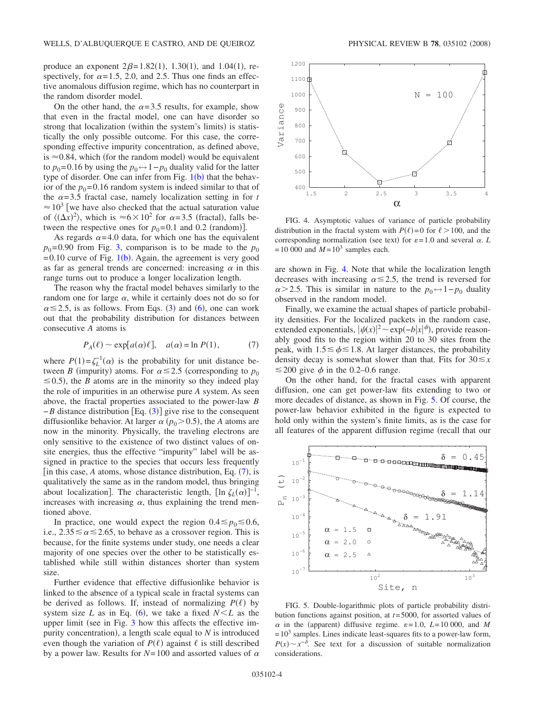produce an exponent  $2\beta = 1.82(1)$ , 1.30(1), and 1.04(1), respectively, for  $\alpha = 1.5$ , 2.0, and 2.5. Thus one finds an effective anomalous diffusion regime, which has no counterpart in the random disorder model.

On the other hand, the  $\alpha$ =3.5 results, for example, show that even in the fractal model, one can have disorder so strong that localization (within the system's limits) is statistically the only possible outcome. For this case, the corresponding effective impurity concentration, as defined above, is  $\approx$  0.84, which (for the random model) would be equivalent to  $p_0$ =0.16 by using the  $p_0 \leftrightarrow 1-p_0$  duality valid for the latter type of disorder. One can infer from Fig.  $1(b)$  $1(b)$  that the behavior of the  $p_0$ =0.16 random system is indeed similar to that of the  $\alpha = 3.5$  fractal case, namely localization setting in for *t*  $\approx 10^3$  we have also checked that the actual saturation value of  $\langle (\Delta x)^2 \rangle$ , which is  $\approx 6 \times 10^2$  for  $\alpha = 3.5$  (fractal), falls between the respective ones for  $p_0 = 0.1$  and 0.2 (random)].

As regards  $\alpha$ =4.0 data, for which one has the equivalent  $p_0$ =0.90 from Fig. [3,](#page-2-0) comparison is to be made to the  $p_0$  $=0.10$  $=0.10$  $=0.10$  curve of Fig. 1(b). Again, the agreement is very good as far as general trends are concerned: increasing  $\alpha$  in this range turns out to produce a longer localization length.

The reason why the fractal model behaves similarly to the random one for large  $\alpha$ , while it certainly does not do so for  $\alpha \leq 2.5$ , is as follows. From Eqs. ([3](#page-1-0)) and ([6](#page-2-1)), one can work out that the probability distribution for distances between consecutive *A* atoms is

$$
P_A(\ell) \sim \exp[a(\alpha)\ell], \quad a(\alpha) = \ln P(1),
$$
 (7)

<span id="page-3-0"></span>where  $P(1) = \zeta_L^{-1}(\alpha)$  is the probability for unit distance between *B* (impurity) atoms. For  $\alpha \le 2.5$  (corresponding to  $p_0$  $\leq$  0.5), the *B* atoms are in the minority so they indeed play the role of impurities in an otherwise pure *A* system. As seen above, the fractal properties associated to the power-law *B*  $-B$  distance distribution [Eq. ([3](#page-1-0))] give rise to the consequent diffusionlike behavior. At larger  $\alpha$  ( $p_0$  > 0.5), the *A* atoms are now in the minority. Physically, the traveling electrons are only sensitive to the existence of two distinct values of onsite energies, thus the effective "impurity" label will be assigned in practice to the species that occurs less frequently [in this case,  $A$  atoms, whose distance distribution, Eq.  $(7)$  $(7)$  $(7)$ , is qualitatively the same as in the random model, thus bringing about localization]. The characteristic length,  $[\ln \zeta_L(\alpha)]^{-1}$ , increases with increasing  $\alpha$ , thus explaining the trend mentioned above.

In practice, one would expect the region  $0.4 \le p_0 \le 0.6$ , i.e.,  $2.35 \le \alpha \le 2.65$ , to behave as a crossover region. This is because, for the finite systems under study, one needs a clear majority of one species over the other to be statistically established while still within distances shorter than system size.

Further evidence that effective diffusionlike behavior is linked to the absence of a typical scale in fractal systems can be derived as follows. If, instead of normalizing  $P(\ell)$  by system size *L* as in Eq. ([6](#page-2-1)), we take a fixed  $N < L$  as the upper limit (see in Fig.  $3$  how this affects the effective impurity concentration), a length scale equal to  $N$  is introduced even though the variation of  $P(\ell)$  against  $\ell$  is still described by a power law. Results for  $N=100$  and assorted values of  $\alpha$ 

<span id="page-3-1"></span>

FIG. 4. Asymptotic values of variance of particle probability distribution in the fractal system with  $P(\ell)=0$  for  $\ell > 100$ , and the corresponding normalization (see text) for  $\varepsilon = 1.0$  and several  $\alpha$ . *L*  $=10000$  and  $M=10<sup>3</sup>$  samples each.

are shown in Fig. [4.](#page-3-1) Note that while the localization length decreases with increasing  $\alpha \leq 2.5$ , the trend is reversed for  $\alpha$  > 2.5. This is similar in nature to the  $p_0 \leftrightarrow 1-p_0$  duality observed in the random model.

Finally, we examine the actual shapes of particle probability densities. For the localized packets in the random case, extended exponentials,  $|\psi(x)|^2 \sim \exp(-b|x|^\phi)$ , provide reasonably good fits to the region within 20 to 30 sites from the peak, with  $1.5 \le \phi \le 1.8$ . At larger distances, the probability density decay is somewhat slower than that. Fits for  $30 \leq x$  $\leq$  200 give  $\phi$  in the 0.2–0.6 range.

On the other hand, for the fractal cases with apparent diffusion, one can get power-law fits extending to two or more decades of distance, as shown in Fig. [5.](#page-3-2) Of course, the power-law behavior exhibited in the figure is expected to hold only within the system's finite limits, as is the case for all features of the apparent diffusion regime (recall that our

<span id="page-3-2"></span>

FIG. 5. Double-logarithmic plots of particle probability distribution functions against position, at *t*=5000, for assorted values of  $\alpha$  in the (apparent) diffusive regime.  $\varepsilon = 1.0$ , *L*=10 000, and *M*  $=10<sup>3</sup>$  samples. Lines indicate least-squares fits to a power-law form,  $P(x) \sim x^{-\delta}$ . See text for a discussion of suitable normalization considerations.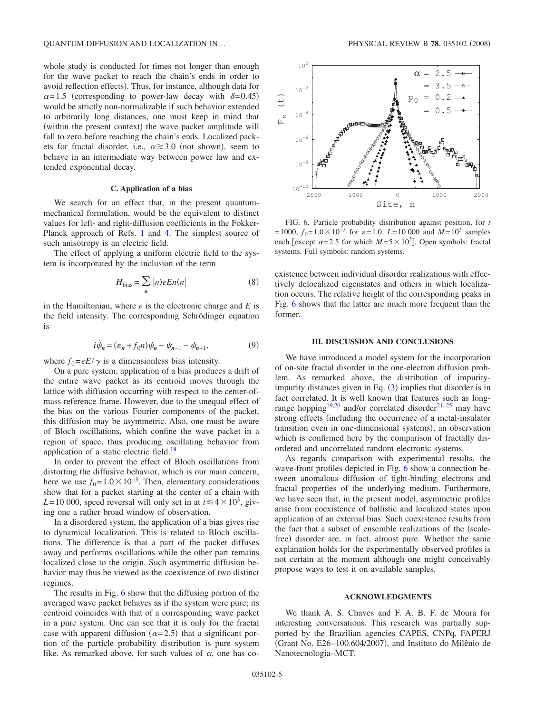whole study is conducted for times not longer than enough for the wave packet to reach the chain's ends in order to avoid reflection effects). Thus, for instance, although data for  $\alpha$ =1.5 (corresponding to power-law decay with  $\delta$ =0.45) would be strictly non-normalizable if such behavior extended to arbitrarily long distances, one must keep in mind that (within the present context) the wave packet amplitude will fall to zero before reaching the chain's ends. Localized packets for fractal disorder, i.e.,  $\alpha \ge 3.0$  (not shown), seem to behave in an intermediate way between power law and extended exponential decay.

#### **C. Application of a bias**

We search for an effect that, in the present quantummechanical formulation, would be the equivalent to distinct values for left- and right-diffusion coefficients in the Fokker-Planck approach of Refs. [1](#page-5-3) and [4.](#page-5-5) The simplest source of such anisotropy is an electric field.

The effect of applying a uniform electric field to the system is incorporated by the inclusion of the term

$$
H_{\text{bias}} = \sum_{n} |n\rangle eEn\langle n| \tag{8}
$$

in the Hamiltonian, where *e* is the electronic charge and *E* is the field intensity. The corresponding Schrödinger equation is

$$
i\dot{\psi}_n = (\varepsilon_n + f_0 n)\psi_n - \psi_{n-1} - \psi_{n+1},
$$
\n(9)

where  $f_0 = eE/\gamma$  is a dimensionless bias intensity.

On a pure system, application of a bias produces a drift of the entire wave packet as its centroid moves through the lattice with diffusion occurring with respect to the center-ofmass reference frame. However, due to the unequal effect of the bias on the various Fourier components of the packet, this diffusion may be asymmetric. Also, one must be aware of Bloch oscillations, which confine the wave packet in a region of space, thus producing oscillating behavior from application of a static electric field.<sup>18</sup>

In order to prevent the effect of Bloch oscillations from distorting the diffusive behavior, which is our main concern, here we use  $f_0=1.0\times10^{-3}$ . Then, elementary considerations show that for a packet starting at the center of a chain with  $L = 10000$ , speed reversal will only set in at  $t \le 4 \times 10^3$ , giving one a rather broad window of observation.

In a disordered system, the application of a bias gives rise to dynamical localization. This is related to Bloch oscillations. The difference is that a part of the packet diffuses away and performs oscillations while the other part remains localized close to the origin. Such asymmetric diffusion behavior may thus be viewed as the coexistence of two distinct regimes.

The results in Fig. [6](#page-4-0) show that the diffusing portion of the averaged wave packet behaves as if the system were pure; its centroid coincides with that of a corresponding wave packet in a pure system. One can see that it is only for the fractal case with apparent diffusion ( $\alpha$ =2.5) that a significant portion of the particle probability distribution is pure system like. As remarked above, for such values of  $\alpha$ , one has co-

<span id="page-4-0"></span>

FIG. 6. Particle probability distribution against position, for *t*  $=1000$ ,  $f_0=1.0\times10^{-3}$  for  $\varepsilon=1.0$ . *L*=10 000 and *M* = 10<sup>3</sup> samples each [except  $\alpha$ =2.5 for which *M* = 5 × 10<sup>3</sup>]. Open symbols: fractal systems. Full symbols: random systems.

existence between individual disorder realizations with effectively delocalized eigenstates and others in which localization occurs. The relative height of the corresponding peaks in Fig. [6](#page-4-0) shows that the latter are much more frequent than the former.

### **III. DISCUSSION AND CONCLUSIONS**

We have introduced a model system for the incorporation of on-site fractal disorder in the one-electron diffusion problem. As remarked above, the distribution of impurityimpurity distances given in Eq.  $(3)$  $(3)$  $(3)$  implies that disorder is in fact correlated. It is well known that features such as long-range hopping<sup>19[,20](#page-5-18)</sup> and/or correlated disorder<sup>21–[25](#page-5-20)</sup> may have strong effects (including the occurrence of a metal-insulator transition even in one-dimensional systems), an observation which is confirmed here by the comparison of fractally disordered and uncorrelated random electronic systems.

As regards comparison with experimental results, the wave-front profiles depicted in Fig. [6](#page-4-0) show a connection between anomalous diffusion of tight-binding electrons and fractal properties of the underlying medium. Furthermore, we have seen that, in the present model, asymmetric profiles arise from coexistence of ballistic and localized states upon application of an external bias. Such coexistence results from the fact that a subset of ensemble realizations of the (scalefree) disorder are, in fact, almost pure. Whether the same explanation holds for the experimentally observed profiles is not certain at the moment although one might conceivably propose ways to test it on available samples.

## **ACKNOWLEDGMENTS**

We thank A. S. Chaves and F. A. B. F. de Moura for interesting conversations. This research was partially supported by the Brazilian agencies CAPES, CNPq, FAPERJ (Grant No. E26-100.604/2007), and Instituto do Milênio de Nanotecnologia–MCT.